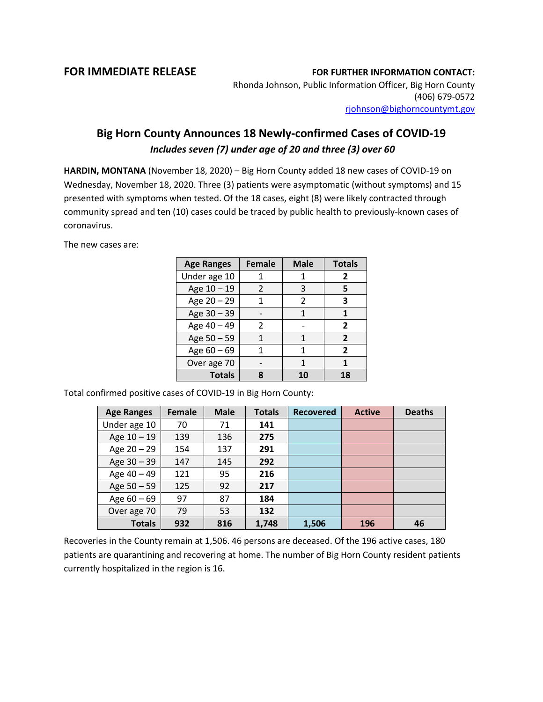## **FOR IMMEDIATE RELEASE FOR FURTHER INFORMATION CONTACT:**

Rhonda Johnson, Public Information Officer, Big Horn County (406) 679-0572 [rjohnson@bighorncountymt.gov](mailto:rjohnson@bighorncountymt.gov)

## **Big Horn County Announces 18 Newly-confirmed Cases of COVID-19** *Includes seven (7) under age of 20 and three (3) over 60*

**HARDIN, MONTANA** (November 18, 2020) – Big Horn County added 18 new cases of COVID-19 on Wednesday, November 18, 2020. Three (3) patients were asymptomatic (without symptoms) and 15 presented with symptoms when tested. Of the 18 cases, eight (8) were likely contracted through community spread and ten (10) cases could be traced by public health to previously-known cases of coronavirus.

The new cases are:

| <b>Age Ranges</b> | <b>Female</b> | <b>Male</b> | <b>Totals</b>  |
|-------------------|---------------|-------------|----------------|
| Under age 10      |               |             | 2              |
| Age 10 - 19       | $\mathcal{P}$ | 3           | 5              |
| Age 20 - 29       |               | 2           | 3              |
| Age 30 - 39       |               | 1           | 1              |
| Age 40 - 49       | 2             |             | $\overline{2}$ |
| Age 50 - 59       |               | 1           | $\overline{2}$ |
| Age $60 - 69$     |               | 1           | $\overline{2}$ |
| Over age 70       |               | 1           |                |
| <b>Totals</b>     | Զ             | 10          | 18             |

Total confirmed positive cases of COVID-19 in Big Horn County:

| <b>Age Ranges</b> | Female | <b>Male</b> | <b>Totals</b> | <b>Recovered</b> | <b>Active</b> | <b>Deaths</b> |
|-------------------|--------|-------------|---------------|------------------|---------------|---------------|
| Under age 10      | 70     | 71          | 141           |                  |               |               |
| Age $10 - 19$     | 139    | 136         | 275           |                  |               |               |
| Age $20 - 29$     | 154    | 137         | 291           |                  |               |               |
| Age $30 - 39$     | 147    | 145         | 292           |                  |               |               |
| Age 40 - 49       | 121    | 95          | 216           |                  |               |               |
| Age 50 - 59       | 125    | 92          | 217           |                  |               |               |
| Age $60 - 69$     | 97     | 87          | 184           |                  |               |               |
| Over age 70       | 79     | 53          | 132           |                  |               |               |
| <b>Totals</b>     | 932    | 816         | 1,748         | 1,506            | 196           | 46            |

Recoveries in the County remain at 1,506. 46 persons are deceased. Of the 196 active cases, 180 patients are quarantining and recovering at home. The number of Big Horn County resident patients currently hospitalized in the region is 16.